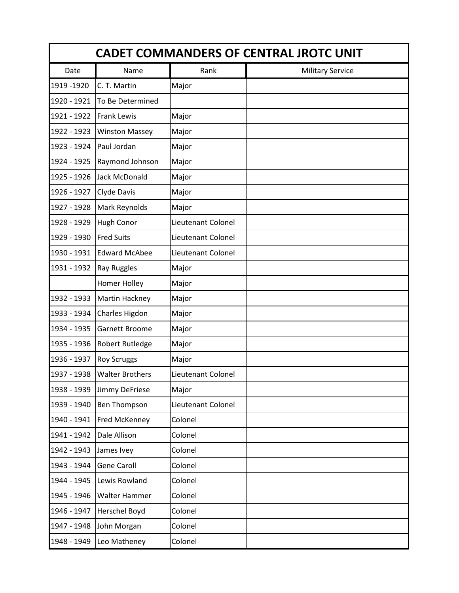| <b>CADET COMMANDERS OF CENTRAL JROTC UNIT</b> |                        |                    |                         |  |  |
|-----------------------------------------------|------------------------|--------------------|-------------------------|--|--|
| Date                                          | Name                   | Rank               | <b>Military Service</b> |  |  |
| 1919 - 1920                                   | C. T. Martin           | Major              |                         |  |  |
| 1920 - 1921                                   | To Be Determined       |                    |                         |  |  |
| 1921 - 1922                                   | <b>Frank Lewis</b>     | Major              |                         |  |  |
| 1922 - 1923                                   | <b>Winston Massey</b>  | Major              |                         |  |  |
| 1923 - 1924                                   | Paul Jordan            | Major              |                         |  |  |
| 1924 - 1925                                   | Raymond Johnson        | Major              |                         |  |  |
| 1925 - 1926                                   | Jack McDonald          | Major              |                         |  |  |
| 1926 - 1927                                   | Clyde Davis            | Major              |                         |  |  |
| 1927 - 1928                                   | Mark Reynolds          | Major              |                         |  |  |
| 1928 - 1929                                   | <b>Hugh Conor</b>      | Lieutenant Colonel |                         |  |  |
| 1929 - 1930                                   | <b>Fred Suits</b>      | Lieutenant Colonel |                         |  |  |
| 1930 - 1931                                   | <b>Edward McAbee</b>   | Lieutenant Colonel |                         |  |  |
| 1931 - 1932                                   | <b>Ray Ruggles</b>     | Major              |                         |  |  |
|                                               | Homer Holley           | Major              |                         |  |  |
| 1932 - 1933                                   | Martin Hackney         | Major              |                         |  |  |
| 1933 - 1934                                   | Charles Higdon         | Major              |                         |  |  |
| 1934 - 1935                                   | Garnett Broome         | Major              |                         |  |  |
| 1935 - 1936                                   | <b>Robert Rutledge</b> | Major              |                         |  |  |
| 1936 - 1937                                   | <b>Roy Scruggs</b>     | Major              |                         |  |  |
| 1937 - 1938                                   | <b>Walter Brothers</b> | Lieutenant Colonel |                         |  |  |
| 1938 - 1939                                   | Jimmy DeFriese         | Major              |                         |  |  |
| 1939 - 1940                                   | <b>Ben Thompson</b>    | Lieutenant Colonel |                         |  |  |
| 1940 - 1941                                   | Fred McKenney          | Colonel            |                         |  |  |
| 1941 - 1942                                   | Dale Allison           | Colonel            |                         |  |  |
| 1942 - 1943                                   | James Ivey             | Colonel            |                         |  |  |
| 1943 - 1944                                   | <b>Gene Caroll</b>     | Colonel            |                         |  |  |
| 1944 - 1945                                   | Lewis Rowland          | Colonel            |                         |  |  |
| 1945 - 1946                                   | <b>Walter Hammer</b>   | Colonel            |                         |  |  |
| 1946 - 1947                                   | Herschel Boyd          | Colonel            |                         |  |  |
| 1947 - 1948                                   | John Morgan            | Colonel            |                         |  |  |
| 1948 - 1949                                   | Leo Matheney           | Colonel            |                         |  |  |